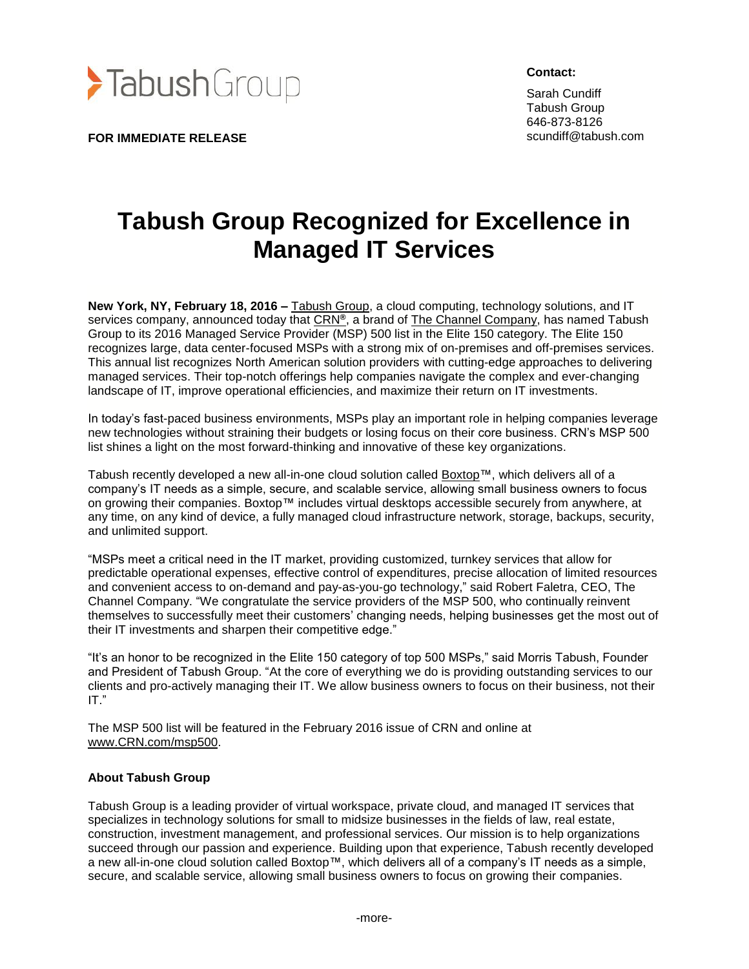

**FOR IMMEDIATE RELEASE**

**Contact:**

Sarah Cundiff Tabush Group 646-873-8126 scundiff@tabush.com

## **Tabush Group Recognized for Excellence in Managed IT Services**

**New York, NY, February 18, 2016 –** [Tabush Group,](http://www.tabush.com/) a cloud computing, technology solutions, and IT services company, announced today that [CRN](http://www.crn.com/)**®**, a brand of [The Channel Company,](http://www.thechannelco.com/) has named Tabush Group to its 2016 Managed Service Provider (MSP) 500 list in the Elite 150 category. The Elite 150 recognizes large, data center-focused MSPs with a strong mix of on-premises and off-premises services. This annual list recognizes North American solution providers with cutting-edge approaches to delivering managed services. Their top-notch offerings help companies navigate the complex and ever-changing landscape of IT, improve operational efficiencies, and maximize their return on IT investments.

In today's fast-paced business environments, MSPs play an important role in helping companies leverage new technologies without straining their budgets or losing focus on their core business. CRN's MSP 500 list shines a light on the most forward-thinking and innovative of these key organizations.

Tabush recently developed a new all-in-one cloud solution called [Boxtop™](http://www.goboxtop.com/), which delivers all of a company's IT needs as a simple, secure, and scalable service, allowing small business owners to focus on growing their companies. Boxtop™ includes virtual desktops accessible securely from anywhere, at any time, on any kind of device, a fully managed cloud infrastructure network, storage, backups, security, and unlimited support.

"MSPs meet a critical need in the IT market, providing customized, turnkey services that allow for predictable operational expenses, effective control of expenditures, precise allocation of limited resources and convenient access to on-demand and pay-as-you-go technology," said Robert Faletra, CEO, The Channel Company. "We congratulate the service providers of the MSP 500, who continually reinvent themselves to successfully meet their customers' changing needs, helping businesses get the most out of their IT investments and sharpen their competitive edge."

"It's an honor to be recognized in the Elite 150 category of top 500 MSPs," said Morris Tabush, Founder and President of Tabush Group. "At the core of everything we do is providing outstanding services to our clients and pro-actively managing their IT. We allow business owners to focus on their business, not their IT."

The MSP 500 list will be featured in the February 2016 issue of CRN and online at [www.CRN.com/msp500.](http://www.crn.com/msp500)

## **About Tabush Group**

Tabush Group is a leading provider of virtual workspace, private cloud, and managed IT services that specializes in technology solutions for small to midsize businesses in the fields of law, real estate, construction, investment management, and professional services. Our mission is to help organizations succeed through our passion and experience. Building upon that experience, Tabush recently developed a new all-in-one cloud solution called Boxtop™, which delivers all of a company's IT needs as a simple, secure, and scalable service, allowing small business owners to focus on growing their companies.